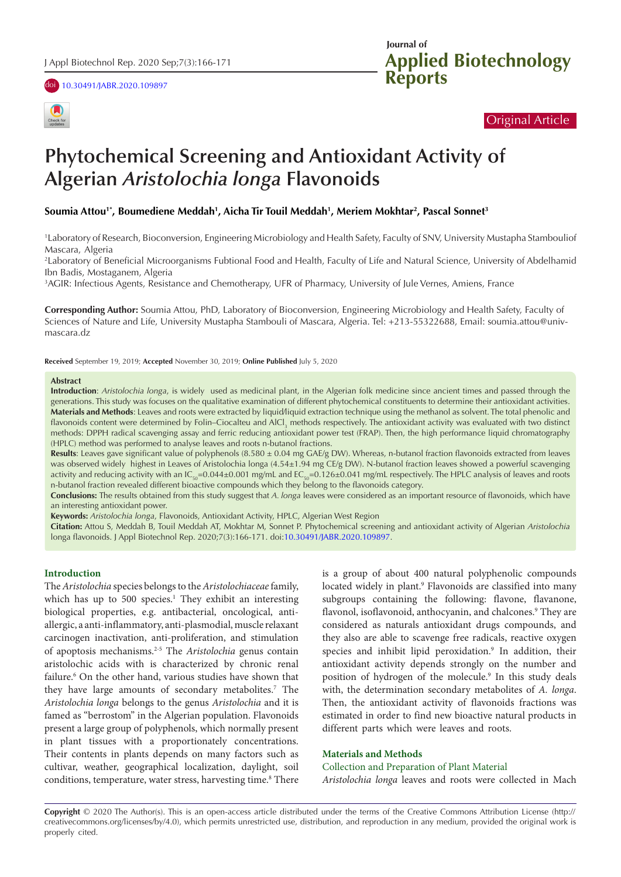





# Original Article

# **Algerian** *Aristolochia longa* **Flavonoids Phytochemical Screening and Antioxidant Activity of**

## **Soumia Attou1\*, Boumediene Meddah<sup>1</sup> , Aicha Tir Touil Meddah<sup>1</sup> , Meriem Mokhtar<sup>2</sup> , Pascal Sonnet<sup>3</sup>**

Mascara, Algeria <sup>1</sup>Laboratory of Research, Bioconversion, Engineering Microbiology and Health Safety, Faculty of SNV, University Mustapha Stambouliof

Ibn Badis, Mostaganem, Algeria <sup>2</sup>Laboratory of Beneficial Microorganisms Fubtional Food and Health, Faculty of Life and Natural Science, University of Abdelhamid

<sup>3</sup>AGIR: Infectious Agents, Resistance and Chemotherapy, UFR of Pharmacy, University of Jule Vernes, Amiens, France

mascara.dz Sciences of Nature and Life, University Mustapha Stambouli of Mascara, Algeria. Tel: +213-55322688, Email: soumia.attou@univ-**Corresponding Author:** Soumia Attou, PhD, Laboratory of Bioconversion, Engineering Microbiology and Health Safety, Faculty of

**Received** September 19, 2019; **Accepted** November 30, 2019; **Online Published** July 5, 2020

#### **Abstract**

**Introduction**: *Aristolochia longa*, is widely used as medicinal plant, in the Algerian folk medicine since ancient times and passed through the generations. This study was focuses on the qualitative examination of different phytochemical constituents to determine their antioxidant activities. **Materials and Methods**: Leaves and roots were extracted by liquid∕liquid extraction technique using the methanol as solvent. The total phenolic and flavonoids content were determined by Folin–Ciocalteu and AlCl<sub>3</sub> methods respectively. The antioxidant activity was evaluated with two distinct methods: DPPH radical scavenging assay and ferric reducing antioxidant power test (FRAP). Then, the high performance liquid chromatography (HPLC) method was performed to analyse leaves and roots n-butanol fractions.

Results: Leaves gave significant value of polyphenols (8.580 ± 0.04 mg GAE/g DW). Whereas, n-butanol fraction flavonoids extracted from leaves was observed widely highest in Leaves of Aristolochia longa (4.54±1.94 mg CE/g DW). N-butanol fraction leaves showed a powerful scavenging activity and reducing activity with an  $IC_{50}=0.044±0.001$  mg/mL and  $EC_{50}=0.126±0.041$  mg/mL respectively. The HPLC analysis of leaves and roots n-butanol fraction revealed different bioactive compounds which they belong to the flavonoids category.

**Conclusions:** The results obtained from this study suggest that *A. longa* leaves were considered as an important resource of flavonoids, which have an interesting antioxidant power.

**Keywords:** *Aristolochia longa*, Flavonoids, Antioxidant Activity, HPLC, Algerian West Region

**Citation:** Attou S, Meddah B, Touil Meddah AT, Mokhtar M, Sonnet P. Phytochemical screening and antioxidant activity of Algerian *Aristolochia* longa flavonoids. J Appl Biotechnol Rep. 2020;7(3):166-171. doi[:10.30491/JABR.2020.109897](https://doi.org/10.30491/JABR.2020.109897).

#### **Introduction**

The *Aristolochia* species belongs to the *Aristolochiaceae* family, which has up to 500 species.<sup>1</sup> They exhibit an interesting biological properties, e.g. antibacterial, oncological, antiallergic, a anti-inflammatory, anti-plasmodial, muscle relaxant carcinogen inactivation, anti-proliferation, and stimulation of apoptosis mechanisms.2-5 The *Aristolochia* genus contain aristolochic acids with is characterized by chronic renal failure.<sup>6</sup> On the other hand, various studies have shown that they have large amounts of secondary metabolites.<sup>7</sup> The *Aristolochia longa* belongs to the genus *Aristolochia* and it is famed as "berrostom" in the Algerian population. Flavonoids present a large group of polyphenols, which normally present in plant tissues with a proportionately concentrations. Their contents in plants depends on many factors such as cultivar, weather, geographical localization, daylight, soil conditions, temperature, water stress, harvesting time.<sup>8</sup> There is a group of about 400 natural polyphenolic compounds located widely in plant.<sup>9</sup> Flavonoids are classified into many subgroups containing the following: flavone, flavanone, flavonol, isoflavonoid, anthocyanin, and chalcones.<sup>9</sup> They are considered as naturals antioxidant drugs compounds, and they also are able to scavenge free radicals, reactive oxygen species and inhibit lipid peroxidation.<sup>9</sup> In addition, their antioxidant activity depends strongly on the number and position of hydrogen of the molecule.<sup>9</sup> In this study deals with, the determination secondary metabolites of *A. longa*. Then, the antioxidant activity of flavonoids fractions was estimated in order to find new bioactive natural products in different parts which were leaves and roots.

#### **Materials and Methods**

Collection and Preparation of Plant Material *Aristolochia longa* leaves and roots were collected in Mach

**Copyright** © 2020 The Author(s). This is an open-access article distributed under the terms of the Creative Commons Attribution License (http:// creativecommons.org/licenses/by/4.0), which permits unrestricted use, distribution, and reproduction in any medium, provided the original work is properly cited.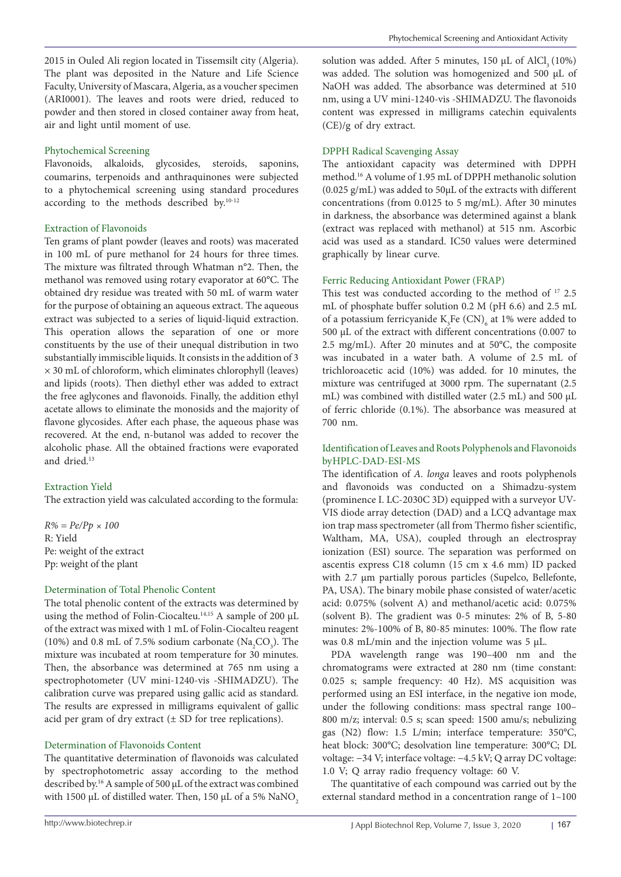2015 in Ouled Ali region located in Tissemsilt city (Algeria). The plant was deposited in the Nature and Life Science Faculty, University of Mascara, Algeria, as a voucher specimen (ARI0001). The leaves and roots were dried, reduced to powder and then stored in closed container away from heat, air and light until moment of use.

## Phytochemical Screening

Flavonoids, alkaloids, glycosides, steroids, saponins, coumarins, terpenoids and anthraquinones were subjected to a phytochemical screening using standard procedures according to the methods described by.10-12

# Extraction of Flavonoids

Ten grams of plant powder (leaves and roots) was macerated in 100 mL of pure methanol for 24 hours for three times. The mixture was filtrated through Whatman n°2. Then, the methanol was removed using rotary evaporator at 60°C. The obtained dry residue was treated with 50 mL of warm water for the purpose of obtaining an aqueous extract. The aqueous extract was subjected to a series of liquid-liquid extraction. This operation allows the separation of one or more constituents by the use of their unequal distribution in two substantially immiscible liquids. It consists in the addition of 3 × 30 mL of chloroform, which eliminates chlorophyll (leaves) and lipids (roots). Then diethyl ether was added to extract the free aglycones and flavonoids. Finally, the addition ethyl acetate allows to eliminate the monosids and the majority of flavone glycosides. After each phase, the aqueous phase was recovered. At the end, n-butanol was added to recover the alcoholic phase. All the obtained fractions were evaporated and dried.13

# Extraction Yield

The extraction yield was calculated according to the formula:

*R% = Pe/Pp × 100* R: Yield Pe: weight of the extract Pp: weight of the plant

## Determination of Total Phenolic Content

The total phenolic content of the extracts was determined by using the method of Folin-Ciocalteu.14,15 A sample of 200 μL of the extract was mixed with 1 mL of Folin-Ciocalteu reagent (10%) and 0.8 mL of 7.5% sodium carbonate  $(Na_2CO_3)$ . The mixture was incubated at room temperature for 30 minutes. Then, the absorbance was determined at 765 nm using a spectrophotometer (UV mini-1240-vis -SHIMADZU). The calibration curve was prepared using gallic acid as standard. The results are expressed in milligrams equivalent of gallic acid per gram of dry extract  $(\pm SD)$  for tree replications).

# Determination of Flavonoids Content

The quantitative determination of flavonoids was calculated by spectrophotometric assay according to the method described by.16 A sample of 500 μL of the extract was combined with 1500 μL of distilled water. Then, 150 μL of a 5% NaNO<sub>2</sub>

solution was added. After 5 minutes, 150  $\mu$ L of AlCl<sub>3</sub> (10%) was added. The solution was homogenized and 500 μL of NaOH was added. The absorbance was determined at 510 nm, using a UV mini-1240-vis -SHIMADZU. The flavonoids content was expressed in milligrams catechin equivalents (CE)/g of dry extract.

# DPPH Radical Scavenging Assay

The antioxidant capacity was determined with DPPH method.16 A volume of 1.95 mL of DPPH methanolic solution (0.025 g/mL) was added to 50μL of the extracts with different concentrations (from 0.0125 to 5 mg/mL). After 30 minutes in darkness, the absorbance was determined against a blank (extract was replaced with methanol) at 515 nm. Ascorbic acid was used as a standard. IC50 values were determined graphically by linear curve.

# Ferric Reducing Antioxidant Power (FRAP)

This test was conducted according to the method of <sup>17</sup> 2.5 mL of phosphate buffer solution 0.2 M (pH 6.6) and 2.5 mL of a potassium ferricyanide  $K_{3}$ Fe (CN)<sub>6</sub> at 1% were added to 500 μL of the extract with different concentrations (0.007 to 2.5 mg/mL). After 20 minutes and at 50°C, the composite was incubated in a water bath. A volume of 2.5 mL of trichloroacetic acid (10%) was added. for 10 minutes, the mixture was centrifuged at 3000 rpm. The supernatant (2.5 mL) was combined with distilled water (2.5 mL) and 500 μL of ferric chloride (0.1%). The absorbance was measured at 700 nm.

# Identification of Leaves and Roots Polyphenols and Flavonoids by HPLC-DAD-ESI-MS

The identification of *A. longa* leaves and roots polyphenols and flavonoids was conducted on a Shimadzu-system (prominence I. LC-2030C 3D) equipped with a surveyor UV-VIS diode array detection (DAD) and a LCQ advantage max ion trap mass spectrometer (all from Thermo fisher scientific, Waltham, MA, USA), coupled through an electrospray ionization (ESI) source. The separation was performed on ascentis express C18 column (15 cm x 4.6 mm) ID packed with 2.7 μm partially porous particles (Supelco, Bellefonte, PA, USA). The binary mobile phase consisted of water/acetic acid: 0.075% (solvent A) and methanol/acetic acid: 0.075% (solvent B). The gradient was 0-5 minutes: 2% of B, 5-80 minutes: 2%-100% of B, 80-85 minutes: 100%. The flow rate was 0.8 mL/min and the injection volume was 5 µL.

PDA wavelength range was 190–400 nm and the chromatograms were extracted at 280 nm (time constant: 0.025 s; sample frequency: 40 Hz). MS acquisition was performed using an ESI interface, in the negative ion mode, under the following conditions: mass spectral range 100– 800 m/z; interval: 0.5 s; scan speed: 1500 amu/s; nebulizing gas (N2) flow: 1.5 L/min; interface temperature: 350°C, heat block: 300°C; desolvation line temperature: 300°C; DL voltage: −34 V; interface voltage: −4.5 kV; Q array DC voltage: 1.0 V; Q array radio frequency voltage: 60 V.

The quantitative of each compound was carried out by the external standard method in a concentration range of 1–100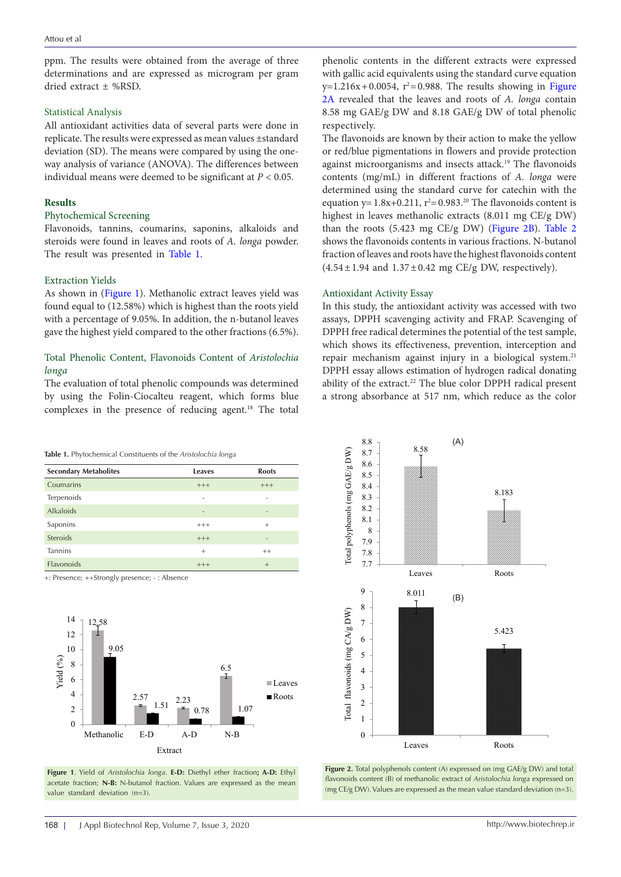ppm. The results were obtained from the average of three determinations and are expressed as microgram per gram dried extract ± %RSD.

## Statistical Analysis

All antioxidant activities data of several parts were done in replicate. The results were expressed as mean values ±standard deviation (SD). The means were compared by using the oneway analysis of variance (ANOVA). The differences between individual means were deemed to be significant at *P* < 0.05.

## **Results**

## Phytochemical Screening

Flavonoids, tannins, coumarins, saponins, alkaloids and steroids were found in leaves and roots of *A. longa* powder. The result was presented in [Table 1.](#page-2-0)

### Extraction Yields

As shown in [\(Figure 1\)](#page-2-1). Methanolic extract leaves yield was found equal to (12.58%) which is highest than the roots yield with a percentage of 9.05%. In addition, the n-butanol leaves gave the highest yield compared to the other fractions (6.5%).

# Total Phenolic Content, Flavonoids Content of *Aristolochia longa*

The evaluation of total phenolic compounds was determined by using the Folin-Ciocalteu reagent, which forms blue complexes in the presence of reducing agent.<sup>18</sup> The total

phenolic contents in the different extracts were expressed with gallic acid equivalents using the standard curve equation  $y=1.216x+0.0054$ ,  $r^2=0.988$ . The results showing in Figure [2A](#page-2-2) revealed that the leaves and roots of *A. longa* contain 8.58 mg GAE/g DW and 8.18 GAE/g DW of total phenolic respectively.

The flavonoids are known by their action to make the yellow or red/blue pigmentations in flowers and provide protection against microorganisms and insects attack.<sup>19</sup> The flavonoids contents (mg/mL) in different fractions of *A. longa* were determined using the standard curve for catechin with the equation  $y=1.8x+0.211$ ,  $r^2=0.983$ .<sup>20</sup> The flavonoids content is highest in leaves methanolic extracts (8.011 mg CE/g DW) than the roots (5.423 mg CE/g DW) ([Figure 2B](#page-2-3)). [Table 2](#page-3-0)  shows the flavonoids contents in various fractions. N-butanol fraction of leaves and roots have the highest flavonoids content  $(4.54 \pm 1.94$  and  $1.37 \pm 0.42$  mg CE/g DW, respectively).

### Antioxidant Activity Essay

In this study, the antioxidant activity was accessed with two assays, DPPH scavenging activity and FRAP. Scavenging of DPPH free radical determines the potential of the test sample, which shows its effectiveness, prevention, interception and repair mechanism against injury in a biological system.<sup>21</sup> DPPH essay allows estimation of hydrogen radical donating ability of the extract.22 The blue color DPPH radical present a strong absorbance at 517 nm, which reduce as the color

#### <span id="page-2-0"></span>**Table 1.** Phytochemical Constituents of the *Aristolochia longa*

| <b>Secondary Metabolites</b> | <b>Leaves</b>            | <b>Roots</b> |
|------------------------------|--------------------------|--------------|
| Coumarins                    | $+++$                    | $+++$        |
| Terpenoids                   | -                        | -            |
| <b>Alkaloids</b>             | $\overline{\phantom{0}}$ |              |
| Saponins                     | $+++$                    | $^{+}$       |
| <b>Steroids</b>              | $+++$                    | -            |
| <b>Tannins</b>               | $^{+}$                   | $++$         |
| Flavonoids                   | $+++$                    | $+$          |

+: Presence; ++Strongly presence; - : Absence

<span id="page-2-1"></span>

**Figure 1**. Yield of *Aristolochia longa*. **E-D:** Diethyl ether fraction**; A-D:** Ethyl acetate fraction; **N-B:** N-butanol fraction. Values are expressed as the mean value standard deviation (n=3).

<span id="page-2-3"></span><span id="page-2-2"></span>

Figure 2. Total polyphenols content (A) expressed on (mg GAE/g DW) and total flavonoids content (B) of methanolic extract of *Aristolochia longa* expressed on (mg CE/g DW). Values are expressed as the mean value standard deviation (n=3).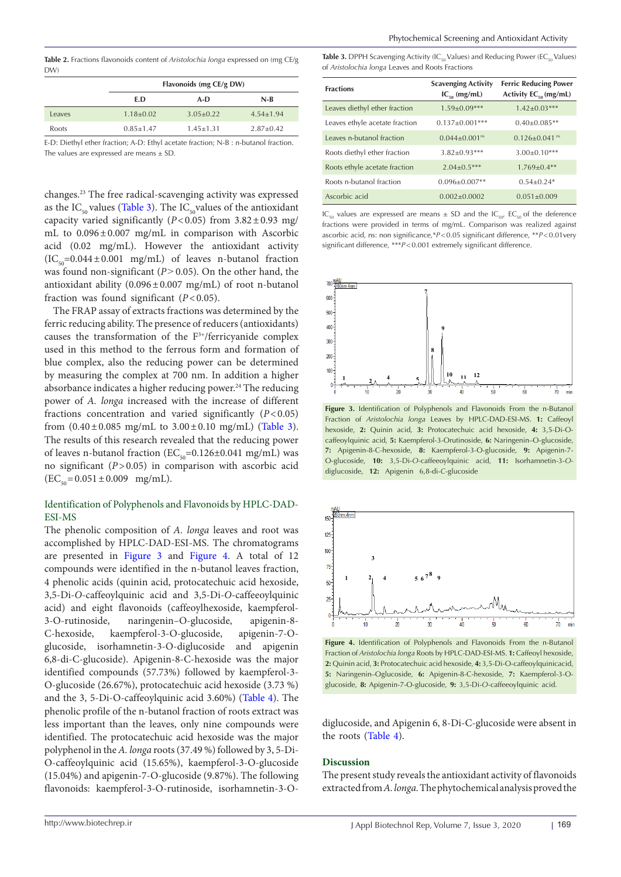<span id="page-3-0"></span>**Table 2.** Fractions flavonoids content of *Aristolochia longa* expressed on (mg CE/g DW)

|        |                                                                                    | Flavonoids (mg CE/g DW) |               |  |  |
|--------|------------------------------------------------------------------------------------|-------------------------|---------------|--|--|
|        | E.D                                                                                | A-D                     |               |  |  |
| Leaves | $1.18 \pm 0.02$                                                                    | $3.05 + 0.22$           | $4.54 + 1.94$ |  |  |
| Roots  | $0.85 + 1.47$                                                                      | $1.45 + 1.31$           | $2.87+0.42$   |  |  |
|        | E.D. Diathyl athor frogtion: A.D. Ethyl agatata fraction: N.D. in butanol fraction |                         |               |  |  |

E-D: Diethyl ether fraction: A-D: Ethyl aceta The values are expressed are means  $\pm$  SD.

changes.23 The free radical-scavenging activity was expressed as the IC<sub>50</sub> values [\(Table 3](#page-3-1)). The IC<sub>50</sub> values of the antioxidant capacity varied significantly (*P*<0.05) from 3.82±0.93 mg/ mL to 0.096±0.007 mg/mL in comparison with Ascorbic acid (0.02 mg/mL). However the antioxidant activity  $(IC_{\text{eq}}=0.044\pm0.001$  mg/mL) of leaves n-butanol fraction was found non-significant ( $P$  > 0.05). On the other hand, the antioxidant ability  $(0.096 \pm 0.007 \text{ mg/mL})$  of root n-butanol fraction was found significant (*P*<0.05).

The FRAP assay of extracts fractions was determined by the ferric reducing ability. The presence of reducers (antioxidants) causes the transformation of the F3+/ferricyanide complex used in this method to the ferrous form and formation of blue complex, also the reducing power can be determined by measuring the complex at 700 nm. In addition a higher absorbance indicates a higher reducing power.<sup>24</sup> The reducing power of *A. longa* increased with the increase of different fractions concentration and varied significantly (*P*<0.05) from  $(0.40 \pm 0.085 \text{ mg/mL}$  to  $3.00 \pm 0.10 \text{ mg/mL}$  ([Table 3\)](#page-3-1). The results of this research revealed that the reducing power of leaves n-butanol fraction ( $EC_{50}$ =0.126±0.041 mg/mL) was no significant (*P*>0.05) in comparison with ascorbic acid  $(EC_{50}=0.051\pm0.009$  mg/mL).

# Identification of Polyphenols and Flavonoids by HPLC-DAD-ESI-MS

The phenolic composition of *A. longa* leaves and root was accomplished by HPLC-DAD-ESI-MS. The chromatograms are presented in [Figure 3](#page-3-2) and [Figure 4](#page-3-3). A total of 12 compounds were identified in the n-butanol leaves fraction, 4 phenolic acids (quinin acid, protocatechuic acid hexoside, 3,5-Di-*O*-caffeoylquinic acid and 3,5-Di-*O*-caffeeoylquinic acid) and eight flavonoids (caffeoylhexoside, kaempferol-3-O-rutinoside, naringenin–O-glucoside, apigenin-8- C-hexoside, kaempferol-3-O-glucoside, apigenin-7-Oglucoside, isorhamnetin-3-O-diglucoside and apigenin 6,8-di-C-glucoside). Apigenin-8-C-hexoside was the major identified compounds (57.73%) followed by kaempferol-3- O-glucoside (26.67%), protocatechuic acid hexoside (3.73 %) and the 3, 5-Di-O-caffeoylquinic acid 3.60%) ([Table 4\)](#page-4-0). The phenolic profile of the n-butanol fraction of roots extract was less important than the leaves, only nine compounds were identified. The protocatechuic acid hexoside was the major polyphenol in the *A. longa* roots (37.49 %) followed by 3, 5-Di-O-caffeoylquinic acid (15.65%), kaempferol-3-O-glucoside (15.04%) and apigenin-7-O-glucoside (9.87%). The following flavonoids: kaempferol-3-O-rutinoside, isorhamnetin-3-O-

<span id="page-3-1"></span>Table 3. DPPH Scavenging Activity (IC<sub>50</sub> Values) and Reducing Power (EC<sub>50</sub> Values) of *Aristolochia longa* Leaves and Roots Fractions

| <b>Fractions</b>               | <b>Scavenging Activity</b><br>$IC_{\epsilon_0}$ (mg/mL) | <b>Ferric Reducing Power</b><br>Activity $EC_{\rm so}$ (mg/mL) |  |
|--------------------------------|---------------------------------------------------------|----------------------------------------------------------------|--|
| Leaves diethyl ether fraction  | $1.59 \pm 0.09***$                                      | $1.42 \pm 0.03***$                                             |  |
| Leaves ethyle acetate fraction | $0.137 \pm 0.001$ ***                                   | $0.40\pm0.085**$                                               |  |
| Leaves n-butanol fraction      | $0.044 + 0.001$ <sup>ns</sup>                           | $0.126 + 0.041$ <sup>ns</sup>                                  |  |
| Roots diethyl ether fraction   | $3.82 \pm 0.93***$                                      | $3.00 \pm 0.10***$                                             |  |
| Roots ethyle acetate fraction  | $2.04+0.5***$                                           | $1.769 + 0.4**$                                                |  |
| Roots n-butanol fraction       | $0.096 + 0.007**$                                       | $0.54 + 0.24*$                                                 |  |
| Ascorbic acid                  | $0.002 + 0.0002$                                        | $0.051 \pm 0.009$                                              |  |

IC<sub>50</sub> values are expressed are means  $\pm$  SD and the IC<sub>50</sub>, EC<sub>50</sub> of the deference fractions were provided in terms of mg/mL. Comparison was realized against ascorbic acid, ns: non significance,\**P*<0.05 significant difference, \*\**P*<0.01very significant difference, \*\*\**P*<0.001 extremely significant difference.

<span id="page-3-2"></span>

Figure 3. Identification of Polyphenols and Flavonoids From the n-Butanol Fraction of *Aristolochia longa* Leaves by HPLC-DAD-ESI-MS. **1:** Caffeoyl hexoside, **2:** Quinin acid, **3:** Protocatechuic acid hexoside, **4:** 3,5-Di-Ocaffeoylquinic acid, **5:** Kaempferol-3-Orutinoside, **6:** Naringenin–O-glucoside, **7:** Apigenin-8-C-hexoside, **8:** Kaempferol-3-O-glucoside, **9:** Apigenin-7- O-glucoside, **10:** 3,5-Di-*O*-caffeeoylquinic acid, **11:** Isorhamnetin-3-*O*diglucoside, **12:** Apigenin 6,8-di-*C*-glucoside

<span id="page-3-3"></span>

Figure 4. Identification of Polyphenols and Flavonoids From the n-Butanol Fraction of *Aristolochia longa* Roots by HPLC-DAD-ESI-MS. **1:** Caffeoyl hexoside, **2:** Quinin acid, **3:** Protocatechuic acid hexoside, **4:** 3,5-Di-O-caffeoylquinicacid, **5:** Naringenin–Oglucoside, **6:** Apigenin-8-C-hexoside, **7:** Kaempferol-3-Oglucoside, **8:** Apigenin-7-O-glucoside, **9:** 3,5-Di-*O*-caffeeoylquinic acid.

diglucoside, and Apigenin 6, 8-Di-C-glucoside were absent in the roots ([Table 4](#page-4-0)).

## **Discussion**

The present study reveals the antioxidant activity of flavonoids extracted from *A. longa.* The phytochemical analysis proved the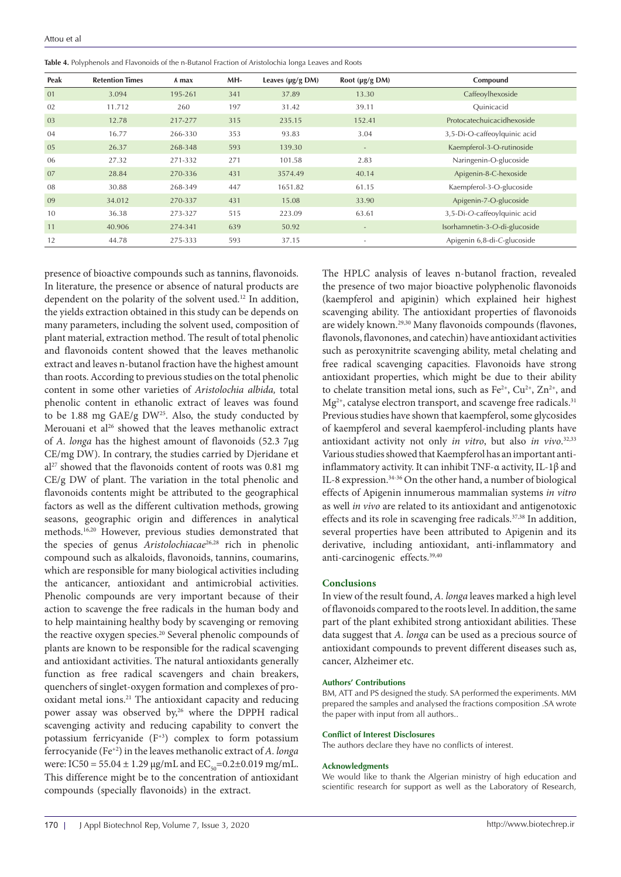<span id="page-4-0"></span>

| <b>Table 4.</b> Polyphenols and Flavonoids of the n-Butanol Fraction of Aristolochia longa Leaves and Roots |  |  |  |
|-------------------------------------------------------------------------------------------------------------|--|--|--|
|                                                                                                             |  |  |  |

| Peak | <b>Retention Times</b> | A max   | MH- | Leaves $(\mu g/g DM)$ | Root $(\mu g/g \text{DM})$ | Compound                      |
|------|------------------------|---------|-----|-----------------------|----------------------------|-------------------------------|
| 01   | 3.094                  | 195-261 | 341 | 37.89                 | 13.30                      | Caffeoylhexoside              |
| 02   | 11.712                 | 260     | 197 | 31.42                 | 39.11                      | Ouinicacid                    |
| 03   | 12.78                  | 217-277 | 315 | 235.15                | 152.41                     | Protocatechuicacidhexoside    |
| 04   | 16.77                  | 266-330 | 353 | 93.83                 | 3.04                       | 3,5-Di-O-caffeoylquinic acid  |
| 05   | 26.37                  | 268-348 | 593 | 139.30                | $\overline{\phantom{a}}$   | Kaempferol-3-O-rutinoside     |
| 06   | 27.32                  | 271-332 | 271 | 101.58                | 2.83                       | Naringenin-O-glucoside        |
| 07   | 28.84                  | 270-336 | 431 | 3574.49               | 40.14                      | Apigenin-8-C-hexoside         |
| 08   | 30.88                  | 268-349 | 447 | 1651.82               | 61.15                      | Kaempferol-3-O-glucoside      |
| 09   | 34.012                 | 270-337 | 431 | 15.08                 | 33.90                      | Apigenin-7-O-glucoside        |
| 10   | 36.38                  | 273-327 | 515 | 223.09                | 63.61                      | 3.5-Di-O-caffeoylquinic acid  |
| 11   | 40.906                 | 274-341 | 639 | 50.92                 | $\overline{\phantom{a}}$   | Isorhamnetin-3-O-di-glucoside |
| 12   | 44.78                  | 275-333 | 593 | 37.15                 | ۰                          | Apigenin 6,8-di-C-glucoside   |

presence of bioactive compounds such as tannins, flavonoids. In literature, the presence or absence of natural products are dependent on the polarity of the solvent used.<sup>12</sup> In addition, the yields extraction obtained in this study can be depends on many parameters, including the solvent used, composition of plant material, extraction method. The result of total phenolic and flavonoids content showed that the leaves methanolic extract and leaves n-butanol fraction have the highest amount than roots. According to previous studies on the total phenolic content in some other varieties of *Aristolochia albida,* total phenolic content in ethanolic extract of leaves was found to be 1.88 mg GAE/g  $DW^{25}$ . Also, the study conducted by Merouani et al<sup>26</sup> showed that the leaves methanolic extract of *A. longa* has the highest amount of flavonoids (52.3 7µg CE/mg DW). In contrary, the studies carried by Djeridane et  $al^{27}$  showed that the flavonoids content of roots was 0.81 mg CE/g DW of plant. The variation in the total phenolic and flavonoids contents might be attributed to the geographical factors as well as the different cultivation methods, growing seasons, geographic origin and differences in analytical methods.16,20 However, previous studies demonstrated that the species of genus *Aristolochiacae*26,28 rich in phenolic compound such as alkaloids, flavonoids, tannins, coumarins, which are responsible for many biological activities including the anticancer, antioxidant and antimicrobial activities. Phenolic compounds are very important because of their action to scavenge the free radicals in the human body and to help maintaining healthy body by scavenging or removing the reactive oxygen species.<sup>20</sup> Several phenolic compounds of plants are known to be responsible for the radical scavenging and antioxidant activities. The natural antioxidants generally function as free radical scavengers and chain breakers, quenchers of singlet-oxygen formation and complexes of prooxidant metal ions.21 The antioxidant capacity and reducing power assay was observed by,<sup>26</sup> where the DPPH radical scavenging activity and reducing capability to convert the potassium ferricyanide  $(F<sup>+3</sup>)$  complex to form potassium ferrocyanide (Fe+2) in the leaves methanolic extract of *A. longa* were: IC50 = 55.04  $\pm$  1.29 µg/mL and EC<sub>50</sub>=0.2 $\pm$ 0.019 mg/mL. This difference might be to the concentration of antioxidant compounds (specially flavonoids) in the extract.

The HPLC analysis of leaves n-butanol fraction, revealed the presence of two major bioactive polyphenolic flavonoids (kaempferol and apiginin) which explained heir highest scavenging ability. The antioxidant properties of flavonoids are widely known.<sup>29,30</sup> Many flavonoids compounds (flavones, flavonols, flavonones, and catechin) have antioxidant activities such as peroxynitrite scavenging ability, metal chelating and free radical scavenging capacities. Flavonoids have strong antioxidant properties, which might be due to their ability to chelate transition metal ions, such as  $Fe^{2+}$ ,  $Cu^{2+}$ ,  $Zn^{2+}$ , and Mg<sup>2+</sup>, catalyse electron transport, and scavenge free radicals.<sup>31</sup> Previous studies have shown that kaempferol, some glycosides of kaempferol and several kaempferol-including plants have antioxidant activity not only *in vitro*, but also *in vivo*. 32,33 Various studies showed that Kaempferol has an important antiinflammatory activity. It can inhibit TNF-α activity, IL-1β and IL-8 expression.34-36 On the other hand, a number of biological effects of Apigenin innumerous mammalian systems *in vitro* as well *in vivo* are related to its antioxidant and antigenotoxic effects and its role in scavenging free radicals.<sup>37,38</sup> In addition, several properties have been attributed to Apigenin and its derivative, including antioxidant, anti-inflammatory and anti-carcinogenic effects.39,40

# **Conclusions**

In view of the result found, *A. longa* leaves marked a high level of flavonoids compared to the roots level. In addition, the same part of the plant exhibited strong antioxidant abilities. These data suggest that *A. longa* can be used as a precious source of antioxidant compounds to prevent different diseases such as, cancer, Alzheimer etc.

#### **Authors' Contributions**

BM, ATT and PS designed the study. SA performed the experiments. MM prepared the samples and analysed the fractions composition .SA wrote the paper with input from all authors..

#### **Conflict of Interest Disclosures**

The authors declare they have no conflicts of interest.

#### **Acknowledgments**

We would like to thank the Algerian ministry of high education and scientific research for support as well as the Laboratory of Research,